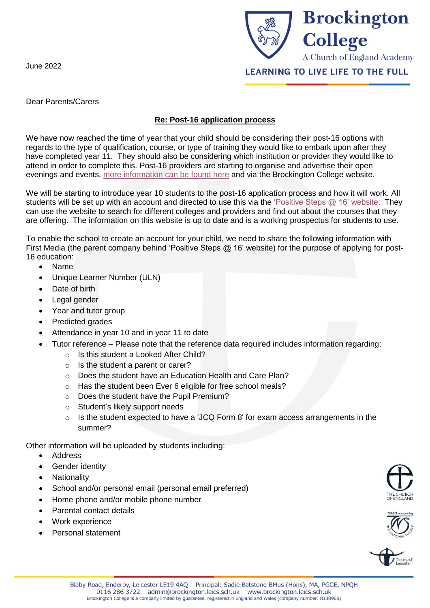June 2022



Dear Parents/Carers

## **Re: Post-16 application process**

We have now reached the time of year that your child should be considering their post-16 options with regards to the type of qualification, course, or type of training they would like to embark upon after they have completed year 11. They should also be considering which institution or provider they would like to attend in order to complete this. Post-16 providers are starting to organise and advertise their open evenings and events, [more information can be found here](https://ps16.co.uk/events/) and via the Brockington College website.

We will be starting to introduce year 10 students to the post-16 application process and how it will work. All students will be set up with an account and directed to use this via the ['Positive Steps @ 16'](https://ps16.co.uk/) website. They can use the website to search for different colleges and providers and find out about the courses that they are offering. The information on this website is up to date and is a working prospectus for students to use.

To enable the school to create an account for your child, we need to share the following information with First Media (the parent company behind 'Positive Steps @ 16' website) for the purpose of applying for post-16 education:

- Name
- Unique Learner Number (ULN)
- Date of birth
- Legal gender
- Year and tutor group
- Predicted grades
- Attendance in year 10 and in year 11 to date
- Tutor reference Please note that the reference data required includes information regarding:
	- o Is this student a Looked After Child?
	- o Is the student a parent or carer?
	- o Does the student have an Education Health and Care Plan?
	- o Has the student been Ever 6 eligible for free school meals?
	- o Does the student have the Pupil Premium?
	- o Student's likely support needs
	- $\circ$  Is the student expected to have a 'JCQ Form 8' for exam access arrangements in the summer?

Other information will be uploaded by students including:

- **Address**
- Gender identity
- **Nationality**
- School and/or personal email (personal email preferred)
- Home phone and/or mobile phone number
- Parental contact details
- Work experience
- Personal statement